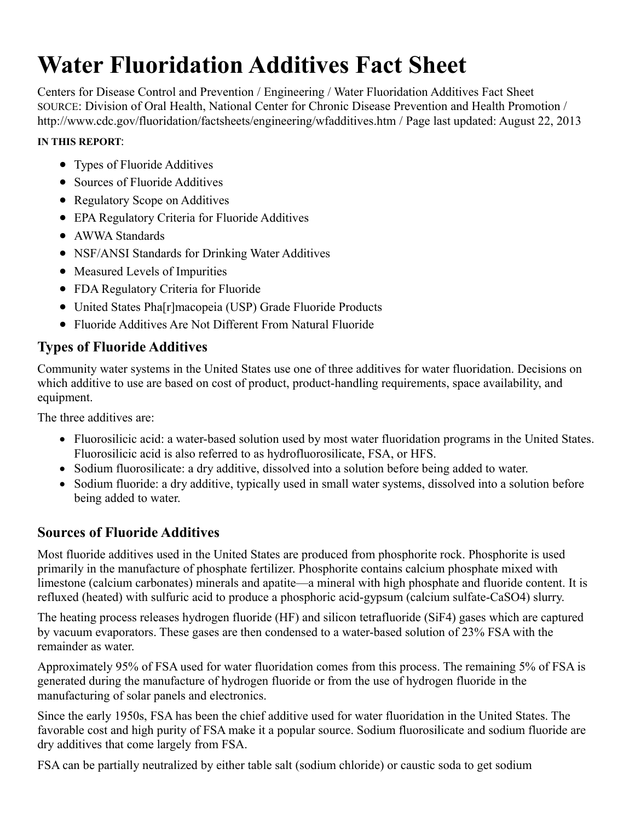# **Water Fluoridation Additives Fact Sheet**

Centers for Disease Control and Prevention / Engineering / Water Fluoridation Additives Fact Sheet SOURCE: Division of Oral Health, National Center for Chronic Disease Prevention and Health Promotion / http://www.cdc.gov/fluoridation/factsheets/engineering/wfadditives.htm / Page last updated: August 22, 2013

#### **IN THIS REPORT**:

- Types of Fluoride Additives
- Sources of Fluoride Additives
- Regulatory Scope on Additives
- EPA Regulatory Criteria for Fluoride Additives
- AWWA Standards
- NSF/ANSI Standards for Drinking Water Additives
- Measured Levels of Impurities
- FDA Regulatory Criteria for Fluoride
- United States Pha[r]macopeia (USP) Grade Fluoride Products
- Fluoride Additives Are Not Different From Natural Fluoride

### **Types of Fluoride Additives**

Community water systems in the United States use one of three additives for water fluoridation. Decisions on which additive to use are based on cost of product, product-handling requirements, space availability, and equipment.

The three additives are:

- Fluorosilicic acid: a water-based solution used by most water fluoridation programs in the United States. Fluorosilicic acid is also referred to as hydrofluorosilicate, FSA, or HFS.
- Sodium fluorosilicate: a dry additive, dissolved into a solution before being added to water.
- Sodium fluoride: a dry additive, typically used in small water systems, dissolved into a solution before being added to water.

### **Sources of Fluoride Additives**

Most fluoride additives used in the United States are produced from phosphorite rock. Phosphorite is used primarily in the manufacture of phosphate fertilizer. Phosphorite contains calcium phosphate mixed with limestone (calcium carbonates) minerals and apatite—a mineral with high phosphate and fluoride content. It is refluxed (heated) with sulfuric acid to produce a phosphoric acid-gypsum (calcium sulfate-CaSO4) slurry.

The heating process releases hydrogen fluoride (HF) and silicon tetrafluoride (SiF4) gases which are captured by vacuum evaporators. These gases are then condensed to a water-based solution of 23% FSA with the remainder as water.

Approximately 95% of FSA used for water fluoridation comes from this process. The remaining 5% of FSA is generated during the manufacture of hydrogen fluoride or from the use of hydrogen fluoride in the manufacturing of solar panels and electronics.

Since the early 1950s, FSA has been the chief additive used for water fluoridation in the United States. The favorable cost and high purity of FSA make it a popular source. Sodium fluorosilicate and sodium fluoride are dry additives that come largely from FSA.

FSA can be partially neutralized by either table salt (sodium chloride) or caustic soda to get sodium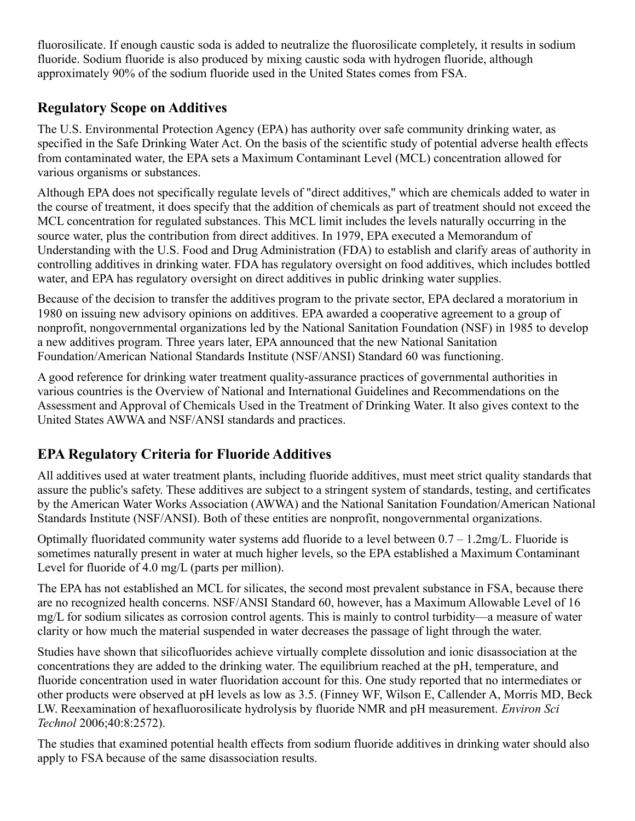fluorosilicate. If enough caustic soda is added to neutralize the fluorosilicate completely, it results in sodium fluoride. Sodium fluoride is also produced by mixing caustic soda with hydrogen fluoride, although approximately 90% of the sodium fluoride used in the United States comes from FSA.

# **Regulatory Scope on Additives**

The U.S. Environmental Protection Agency (EPA) has authority over safe community drinking water, as specified in the Safe Drinking Water Act. On the basis of the scientific study of potential adverse health effects from contaminated water, the EPA sets a Maximum Contaminant Level (MCL) concentration allowed for various organisms or substances.

Although EPA does not specifically regulate levels of "direct additives," which are chemicals added to water in the course of treatment, it does specify that the addition of chemicals as part of treatment should not exceed the MCL concentration for regulated substances. This MCL limit includes the levels naturally occurring in the source water, plus the contribution from direct additives. In 1979, EPA executed a Memorandum of Understanding with the U.S. Food and Drug Administration (FDA) to establish and clarify areas of authority in controlling additives in drinking water. FDA has regulatory oversight on food additives, which includes bottled water, and EPA has regulatory oversight on direct additives in public drinking water supplies.

Because of the decision to transfer the additives program to the private sector, EPA declared a moratorium in 1980 on issuing new advisory opinions on additives. EPA awarded a cooperative agreement to a group of nonprofit, nongovernmental organizations led by the National Sanitation Foundation (NSF) in 1985 to develop a new additives program. Three years later, EPA announced that the new National Sanitation Foundation/American National Standards Institute (NSF/ANSI) Standard 60 was functioning.

A good reference for drinking water treatment quality-assurance practices of governmental authorities in various countries is the Overview of National and International Guidelines and Recommendations on the Assessment and Approval of Chemicals Used in the Treatment of Drinking Water. It also gives context to the United States AWWA and NSF/ANSI standards and practices.

# **EPA Regulatory Criteria for Fluoride Additives**

All additives used at water treatment plants, including fluoride additives, must meet strict quality standards that assure the public's safety. These additives are subject to a stringent system of standards, testing, and certificates by the American Water Works Association (AWWA) and the National Sanitation Foundation/American National Standards Institute (NSF/ANSI). Both of these entities are nonprofit, nongovernmental organizations.

Optimally fluoridated community water systems add fluoride to a level between  $0.7 - 1.2$ mg/L. Fluoride is sometimes naturally present in water at much higher levels, so the EPA established a Maximum Contaminant Level for fluoride of 4.0 mg/L (parts per million).

The EPA has not established an MCL for silicates, the second most prevalent substance in FSA, because there are no recognized health concerns. NSF/ANSI Standard 60, however, has a Maximum Allowable Level of 16 mg/L for sodium silicates as corrosion control agents. This is mainly to control turbidity—a measure of water clarity or how much the material suspended in water decreases the passage of light through the water.

Studies have shown that silicofluorides achieve virtually complete dissolution and ionic disassociation at the concentrations they are added to the drinking water. The equilibrium reached at the pH, temperature, and fluoride concentration used in water fluoridation account for this. One study reported that no intermediates or other products were observed at pH levels as low as 3.5. (Finney WF, Wilson E, Callender A, Morris MD, Beck LW. Reexamination of hexafluorosilicate hydrolysis by fluoride NMR and pH measurement. *Environ Sci Technol* 2006;40:8:2572).

The studies that examined potential health effects from sodium fluoride additives in drinking water should also apply to FSA because of the same disassociation results.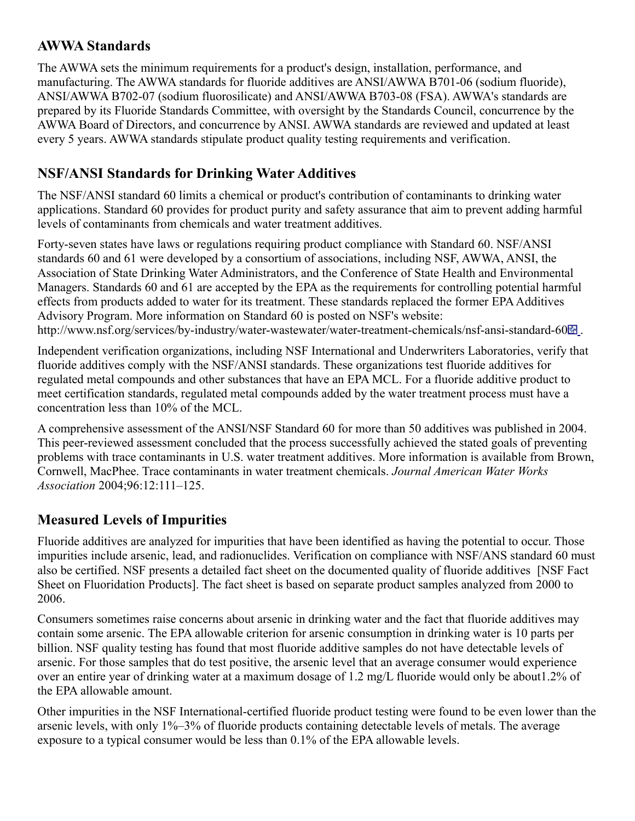### **AWWA Standards**

The AWWA sets the minimum requirements for a product's design, installation, performance, and manufacturing. The AWWA standards for fluoride additives are ANSI/AWWA B701-06 (sodium fluoride), ANSI/AWWA B702-07 (sodium fluorosilicate) and ANSI/AWWA B703-08 (FSA). AWWA's standards are prepared by its Fluoride Standards Committee, with oversight by the Standards Council, concurrence by the AWWA Board of Directors, and concurrence by ANSI. AWWA standards are reviewed and updated at least every 5 years. AWWA standards stipulate product quality testing requirements and verification.

# **NSF/ANSI Standards for Drinking Water Additives**

The NSF/ANSI standard 60 limits a chemical or product's contribution of contaminants to drinking water applications. Standard 60 provides for product purity and safety assurance that aim to prevent adding harmful levels of contaminants from chemicals and water treatment additives.

Forty-seven states have laws or regulations requiring product compliance with Standard 60. NSF/ANSI standards 60 and 61 were developed by a consortium of associations, including NSF, AWWA, ANSI, the Association of State Drinking Water Administrators, and the Conference of State Health and Environmental Managers. Standards 60 and 61 are accepted by the EPA as the requirements for controlling potential harmful effects from products added to water for its treatment. These standards replaced the former EPA Additives Advisory Program. More information on Standard 60 is posted on NSF's website: http://www.nsf.org/services/by-industry/water-wastewater/water-treatment-chemicals/nsf-ansi-standard-60 $\blacksquare$ .

Independent verification organizations, including NSF International and Underwriters Laboratories, verify that fluoride additives comply with the NSF/ANSI standards. These organizations test fluoride additives for regulated metal compounds and other substances that have an EPA MCL. For a fluoride additive product to meet certification standards, regulated metal compounds added by the water treatment process must have a concentration less than 10% of the MCL.

A comprehensive assessment of the ANSI/NSF Standard 60 for more than 50 additives was published in 2004. This peer-reviewed assessment concluded that the process successfully achieved the stated goals of preventing problems with trace contaminants in U.S. water treatment additives. More information is available from Brown, Cornwell, MacPhee. Trace contaminants in water treatment chemicals. *Journal American Water Works Association* 2004;96:12:111–125.

# **Measured Levels of Impurities**

Fluoride additives are analyzed for impurities that have been identified as having the potential to occur. Those impurities include arsenic, lead, and radionuclides. Verification on compliance with NSF/ANS standard 60 must also be certified. NSF presents a detailed fact sheet on the documented quality of fluoride additives [NSF Fact Sheet on Fluoridation Products]. The fact sheet is based on separate product samples analyzed from 2000 to 2006.

Consumers sometimes raise concerns about arsenic in drinking water and the fact that fluoride additives may contain some arsenic. The EPA allowable criterion for arsenic consumption in drinking water is 10 parts per billion. NSF quality testing has found that most fluoride additive samples do not have detectable levels of arsenic. For those samples that do test positive, the arsenic level that an average consumer would experience over an entire year of drinking water at a maximum dosage of 1.2 mg/L fluoride would only be about1.2% of the EPA allowable amount.

Other impurities in the NSF International-certified fluoride product testing were found to be even lower than the arsenic levels, with only 1%–3% of fluoride products containing detectable levels of metals. The average exposure to a typical consumer would be less than 0.1% of the EPA allowable levels.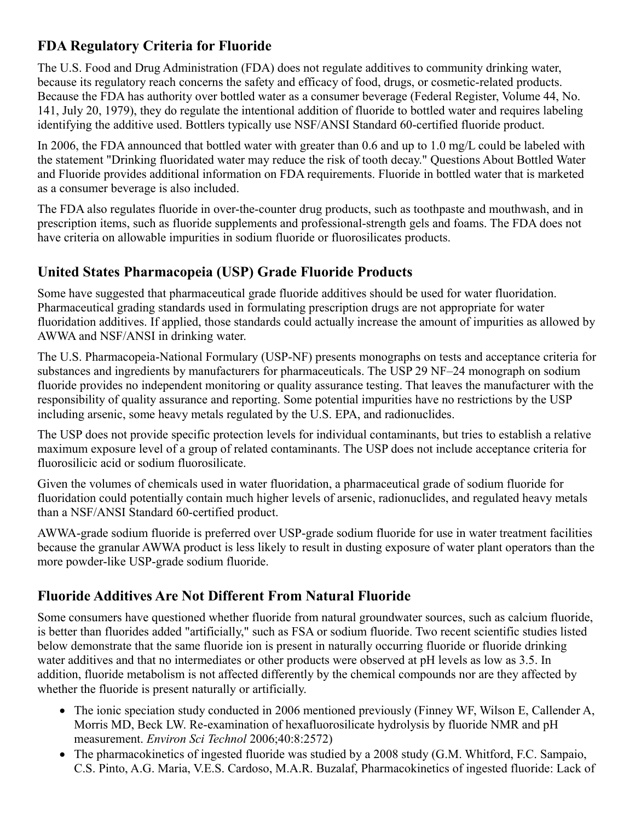# **FDA Regulatory Criteria for Fluoride**

The U.S. Food and Drug Administration (FDA) does not regulate additives to community drinking water, because its regulatory reach concerns the safety and efficacy of food, drugs, or cosmetic-related products. Because the FDA has authority over bottled water as a consumer beverage (Federal Register, Volume 44, No. 141, July 20, 1979), they do regulate the intentional addition of fluoride to bottled water and requires labeling identifying the additive used. Bottlers typically use NSF/ANSI Standard 60-certified fluoride product.

In 2006, the FDA announced that bottled water with greater than 0.6 and up to 1.0 mg/L could be labeled with the statement "Drinking fluoridated water may reduce the risk of tooth decay." Questions About Bottled Water and Fluoride provides additional information on FDA requirements. Fluoride in bottled water that is marketed as a consumer beverage is also included.

The FDA also regulates fluoride in over-the-counter drug products, such as toothpaste and mouthwash, and in prescription items, such as fluoride supplements and professional-strength gels and foams. The FDA does not have criteria on allowable impurities in sodium fluoride or fluorosilicates products.

## **United States Pharmacopeia (USP) Grade Fluoride Products**

Some have suggested that pharmaceutical grade fluoride additives should be used for water fluoridation. Pharmaceutical grading standards used in formulating prescription drugs are not appropriate for water fluoridation additives. If applied, those standards could actually increase the amount of impurities as allowed by AWWA and NSF/ANSI in drinking water.

The U.S. Pharmacopeia-National Formulary (USP-NF) presents monographs on tests and acceptance criteria for substances and ingredients by manufacturers for pharmaceuticals. The USP 29 NF–24 monograph on sodium fluoride provides no independent monitoring or quality assurance testing. That leaves the manufacturer with the responsibility of quality assurance and reporting. Some potential impurities have no restrictions by the USP including arsenic, some heavy metals regulated by the U.S. EPA, and radionuclides.

The USP does not provide specific protection levels for individual contaminants, but tries to establish a relative maximum exposure level of a group of related contaminants. The USP does not include acceptance criteria for fluorosilicic acid or sodium fluorosilicate.

Given the volumes of chemicals used in water fluoridation, a pharmaceutical grade of sodium fluoride for fluoridation could potentially contain much higher levels of arsenic, radionuclides, and regulated heavy metals than a NSF/ANSI Standard 60-certified product.

AWWA-grade sodium fluoride is preferred over USP-grade sodium fluoride for use in water treatment facilities because the granular AWWA product is less likely to result in dusting exposure of water plant operators than the more powder-like USP-grade sodium fluoride.

### **Fluoride Additives Are Not Different From Natural Fluoride**

Some consumers have questioned whether fluoride from natural groundwater sources, such as calcium fluoride, is better than fluorides added "artificially," such as FSA or sodium fluoride. Two recent scientific studies listed below demonstrate that the same fluoride ion is present in naturally occurring fluoride or fluoride drinking water additives and that no intermediates or other products were observed at pH levels as low as 3.5. In addition, fluoride metabolism is not affected differently by the chemical compounds nor are they affected by whether the fluoride is present naturally or artificially.

- The ionic speciation study conducted in 2006 mentioned previously (Finney WF, Wilson E, Callender A, Morris MD, Beck LW. Re-examination of hexafluorosilicate hydrolysis by fluoride NMR and pH measurement. *Environ Sci Technol* 2006;40:8:2572)
- The pharmacokinetics of ingested fluoride was studied by a 2008 study (G.M. Whitford, F.C. Sampaio, C.S. Pinto, A.G. Maria, V.E.S. Cardoso, M.A.R. Buzalaf, Pharmacokinetics of ingested fluoride: Lack of